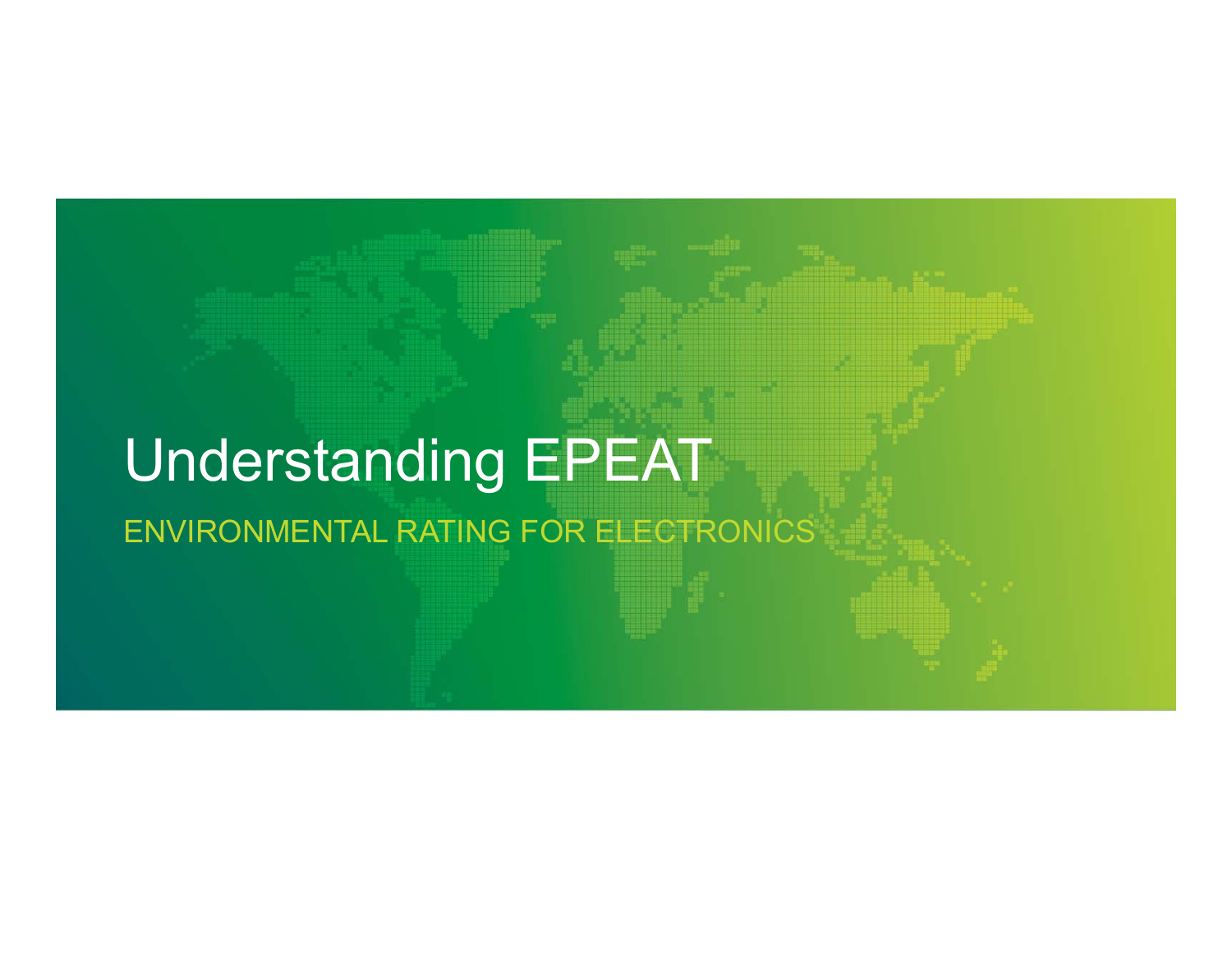# Understanding EPEAT ENVIRONMENTAL RATING FOR ELECTRONICS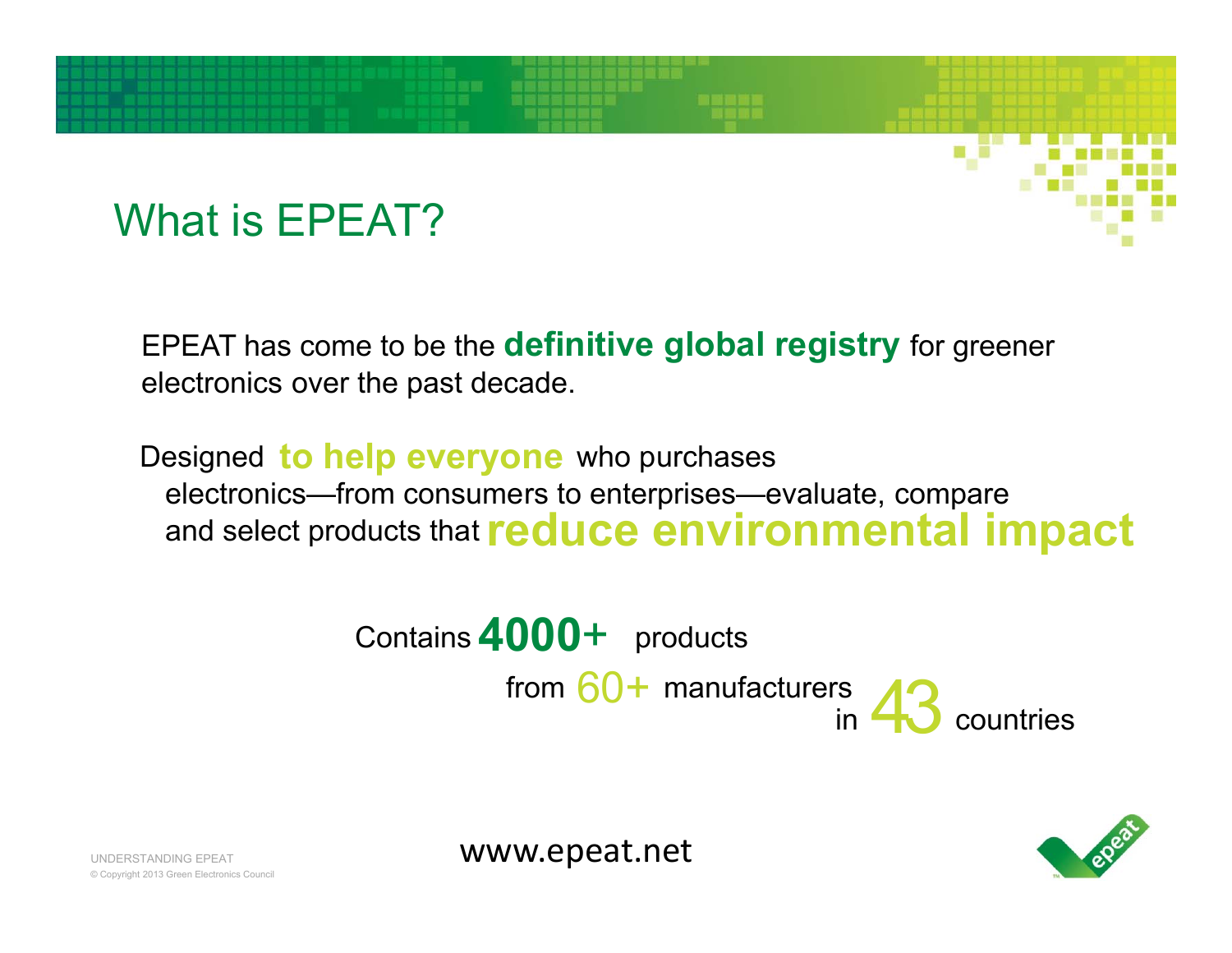#### What is EPEAT?

EPEAT has come to be the **definitive global registry** for greener electronics over the past decade.

Designed to help everyone who purchases electronics—from consumers to enterprises—evaluate, compare and select products that **reduce environmental impact**

> **4000**+ products Contains from 60+ manufacturers<br>in 43 countries



www.epeat.net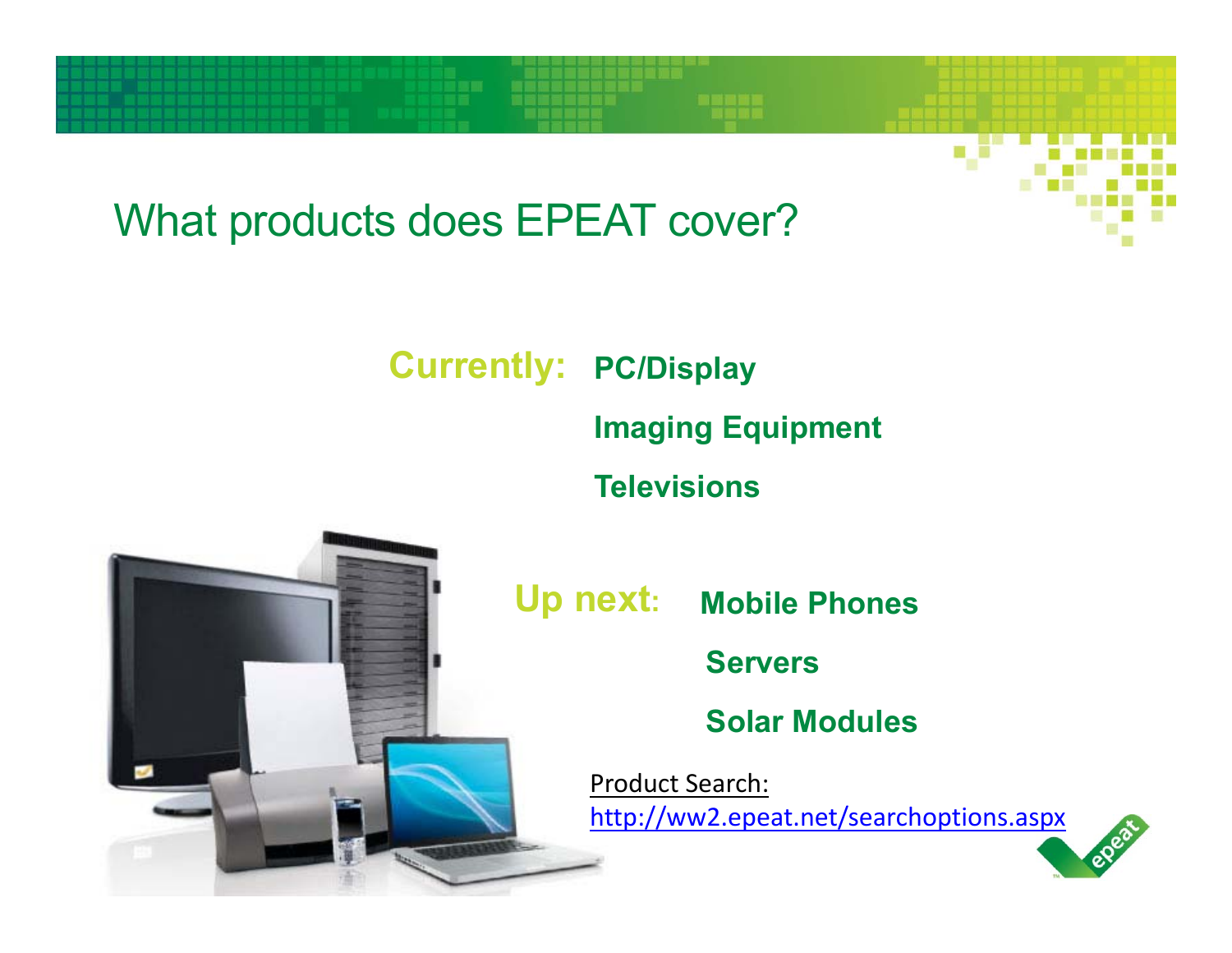### What products does EPEAT cover?

**PC/Display Currently:**

**Imaging Equipment** 

**Televisions**

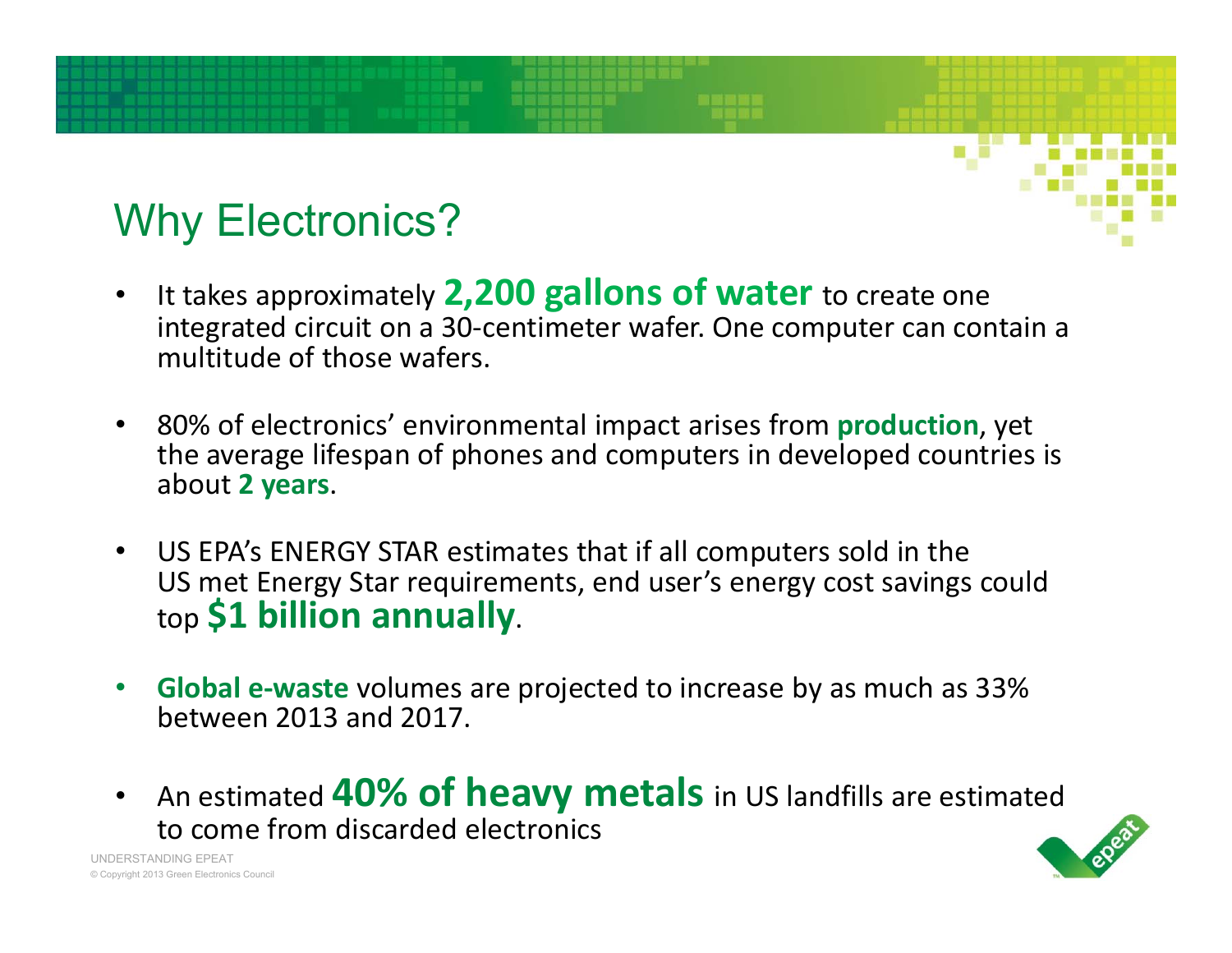# Why Electronics?

- • It takes approximately **2,200 gallons of water** to create one integrated circuit on a 30‐centimeter wafer. One computer can contain a multitude of those wafers.
- 80% of electronics' environmental impact arises from **production**, yet the average lifespan of phones and computers in developed countries is about **2 years**.
- US EPA's ENERGY STAR estimates that if all computers sold in the US met Energy Star requirements, end user's energy cost savings could top **\$1 billion annually**.
- $\bullet$  **Global e‐waste** volumes are projected to increase by as much as 33% between 2013 and 2017.
- $\bullet$  An estimated **40% of heavy metals** in US landfills are estimated to come from discarded electronics

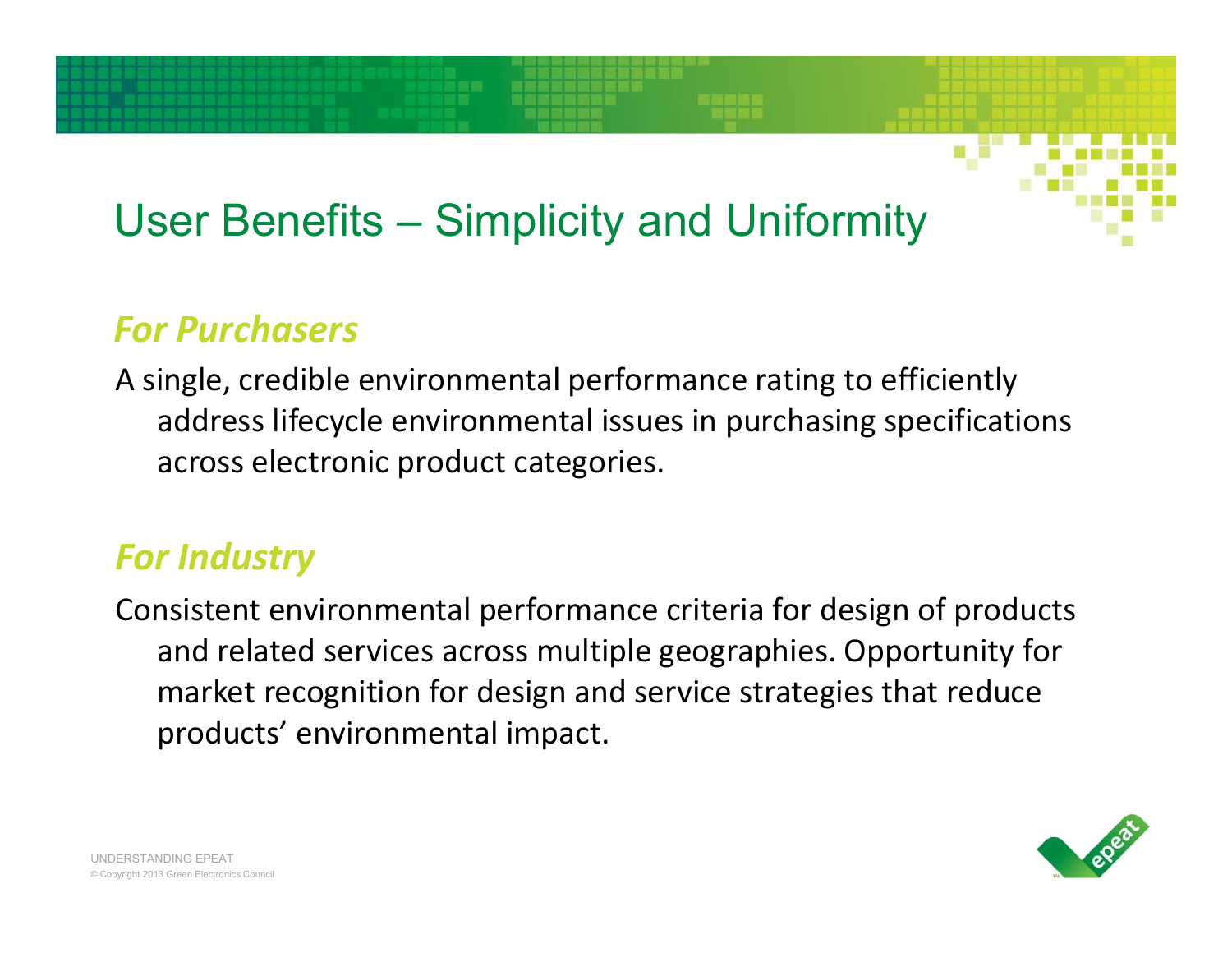# User Benefits – Simplicity and Uniformity

#### *For Purchasers*

A single, credible environmental performance rating to efficiently address lifecycle environmental issues in purchasing specifications across electronic product categories.

#### *For Industry*

Consistent environmental performance criteria for design of products and related services across multiple geographies. Opportunity for market recognition for design and service strategies that reduce products' environmental impact.

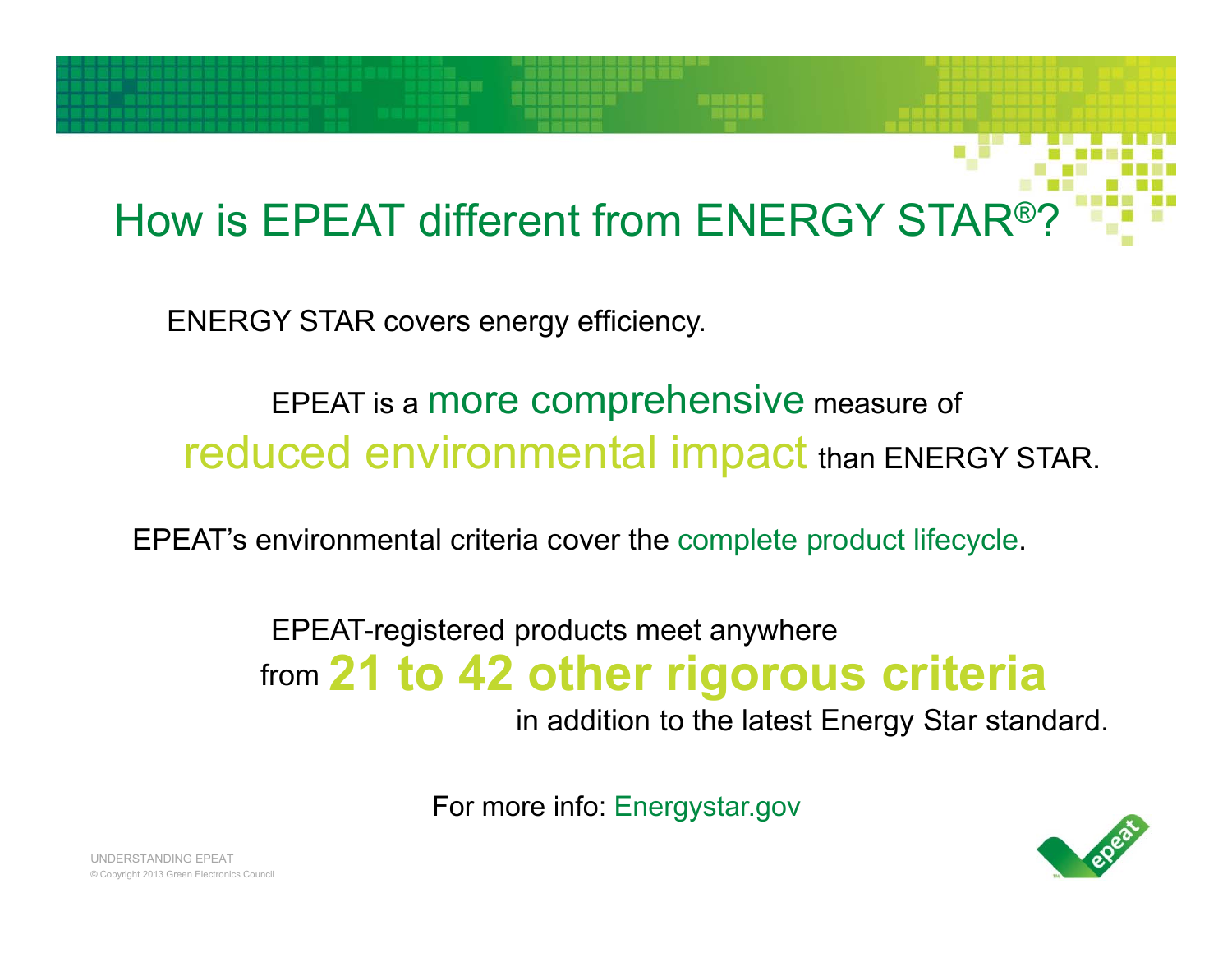# How is EPEAT different from ENERGY STAR®?

ENERGY STAR covers energy efficiency.

#### EPEAT is a more comprehensive measure of reduced environmental impact than ENERGY STAR.

EPEAT's environmental criteria cover the complete product lifecycle.

#### EPEAT-registered products meet anywhere from **21 to 42 other rigorous criteria**

in addition to the latest Energy Star standard.

For more info: Energystar.gov

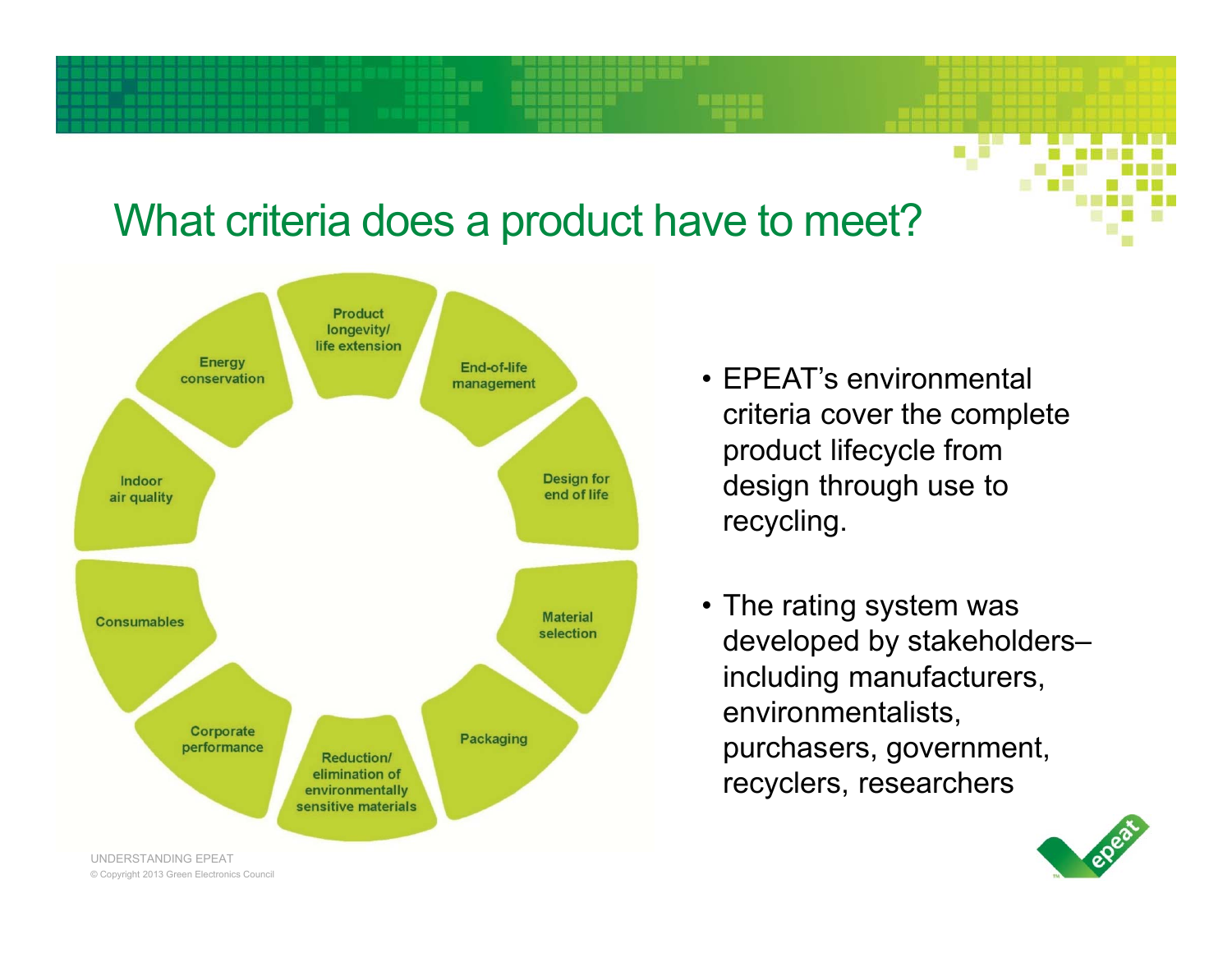#### What criteria does a product have to meet?



- EPEAT's environmental criteria cover the complete product lifecycle from design through use to recycling.
- The rating system was developed by stakeholders– including manufacturers, environmentalists, purchasers, government, recyclers, researchers

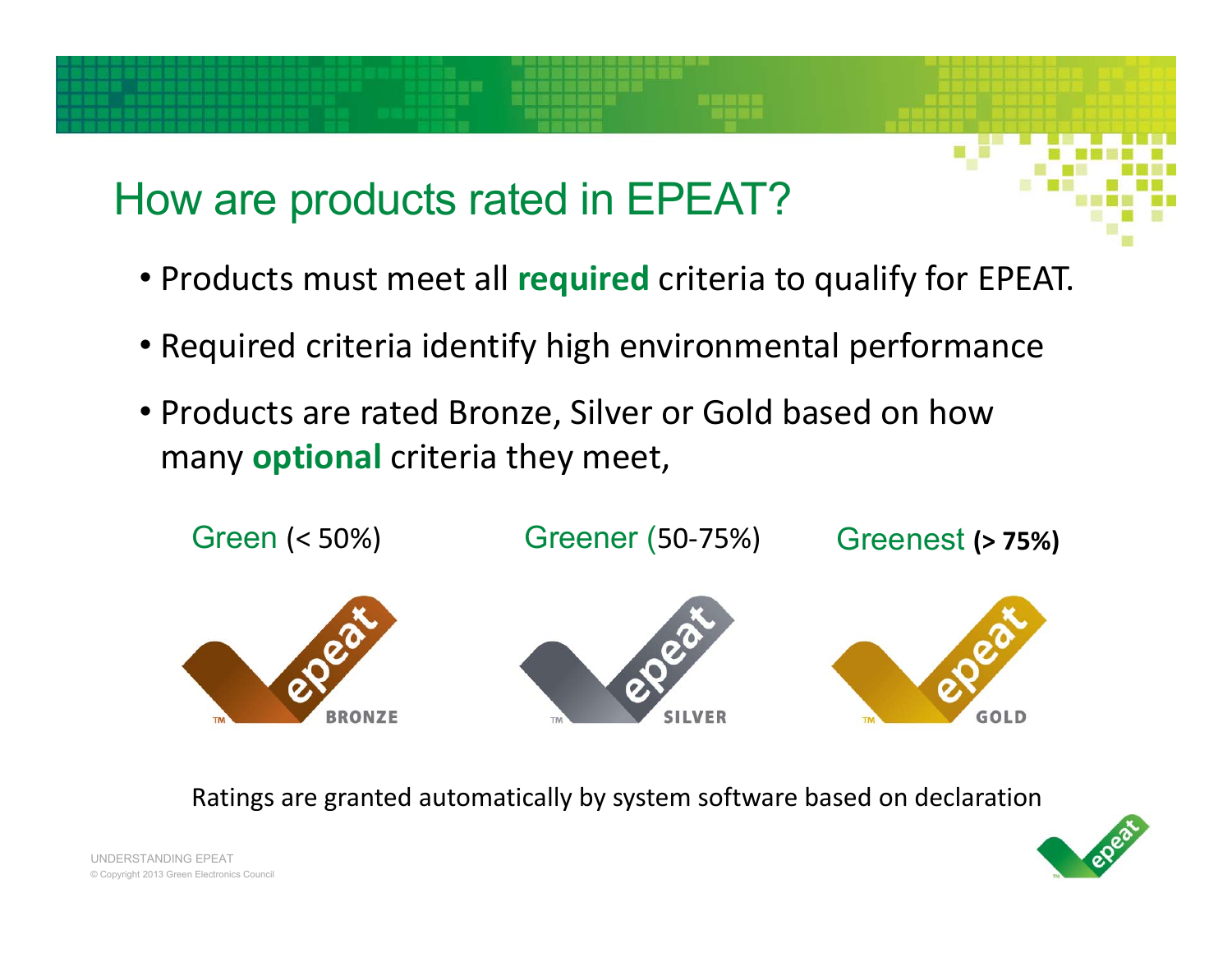## How are products rated in EPEAT?

- Products must meet all **required** criteria to qualify for EPEAT.
- Required criteria identify high environmental performance
- Products are rated Bronze, Silver or Gold based on how many **optional** criteria they meet,



Ratings are granted automatically by system software based on declaration

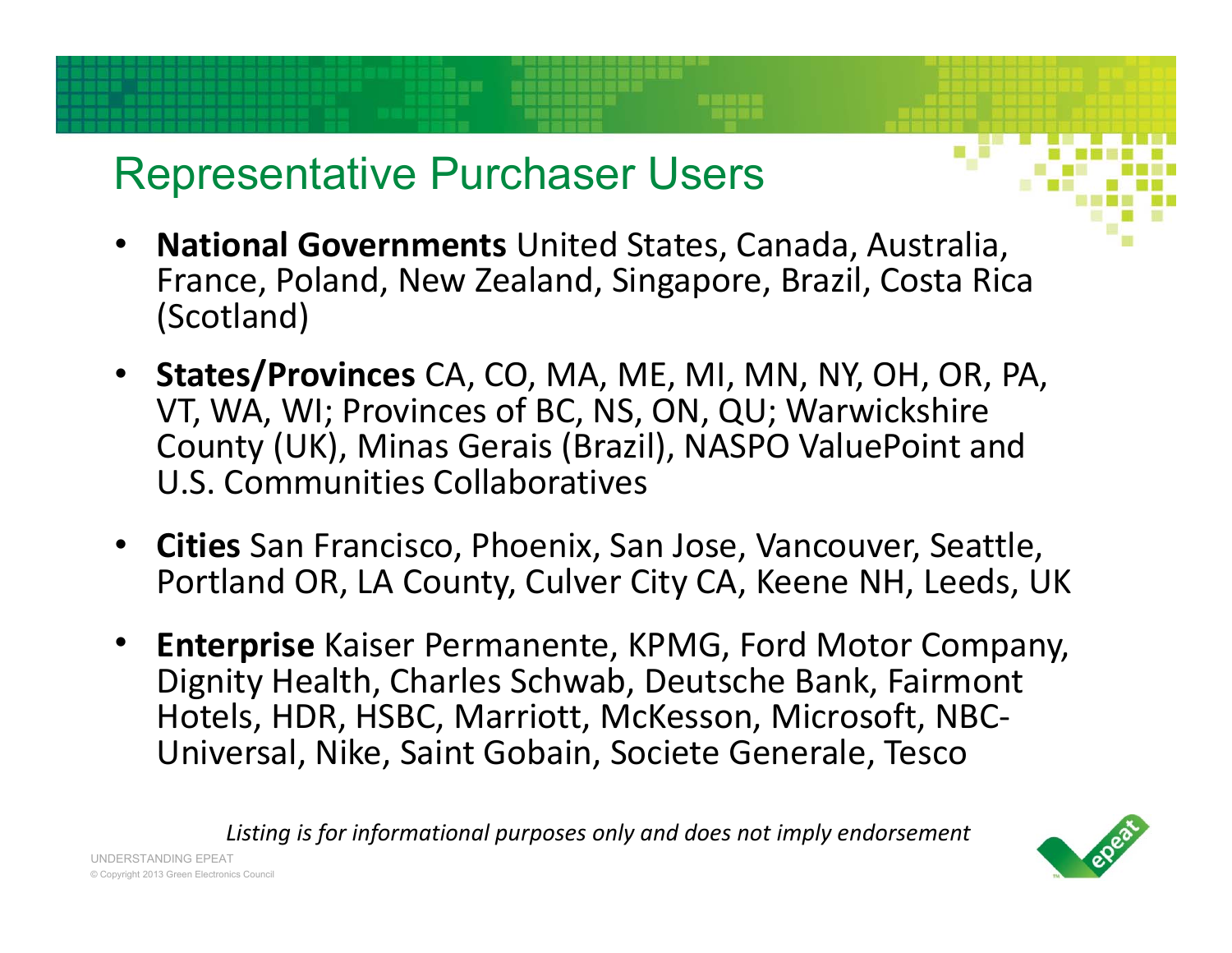#### Representative Purchaser Users

- • **National Governments** United States, Canada, Australia, France, Poland, New Zealand, Singapore, Brazil, Costa Rica (Scotland)
- **States/Provinces** CA, CO, MA, ME, MI, MN, NY, OH, OR, PA, VT, WA, WI; Provinces of BC, NS, ON, QU; Warwickshire County (UK), Minas Gerais (Brazil), NASPO ValuePoint and U.S. Communities Collaboratives
- • **Cities** San Francisco, Phoenix, San Jose, Vancouver, Seattle, Portland OR, LA County, Culver City CA, Keene NH, Leeds, UK
- • **Enterprise** Kaiser Permanente, KPMG, Ford Motor Company, Dignity Health, Charles Schwab, Deutsche Bank, Fairmont Hotels, HDR, HSBC, Marriott, McKesson, Microsoft, NBC‐ Universal, Nike, Saint Gobain, Societe Generale, Tesco

*Listing is for informational purposes only and does not imply endorsement*

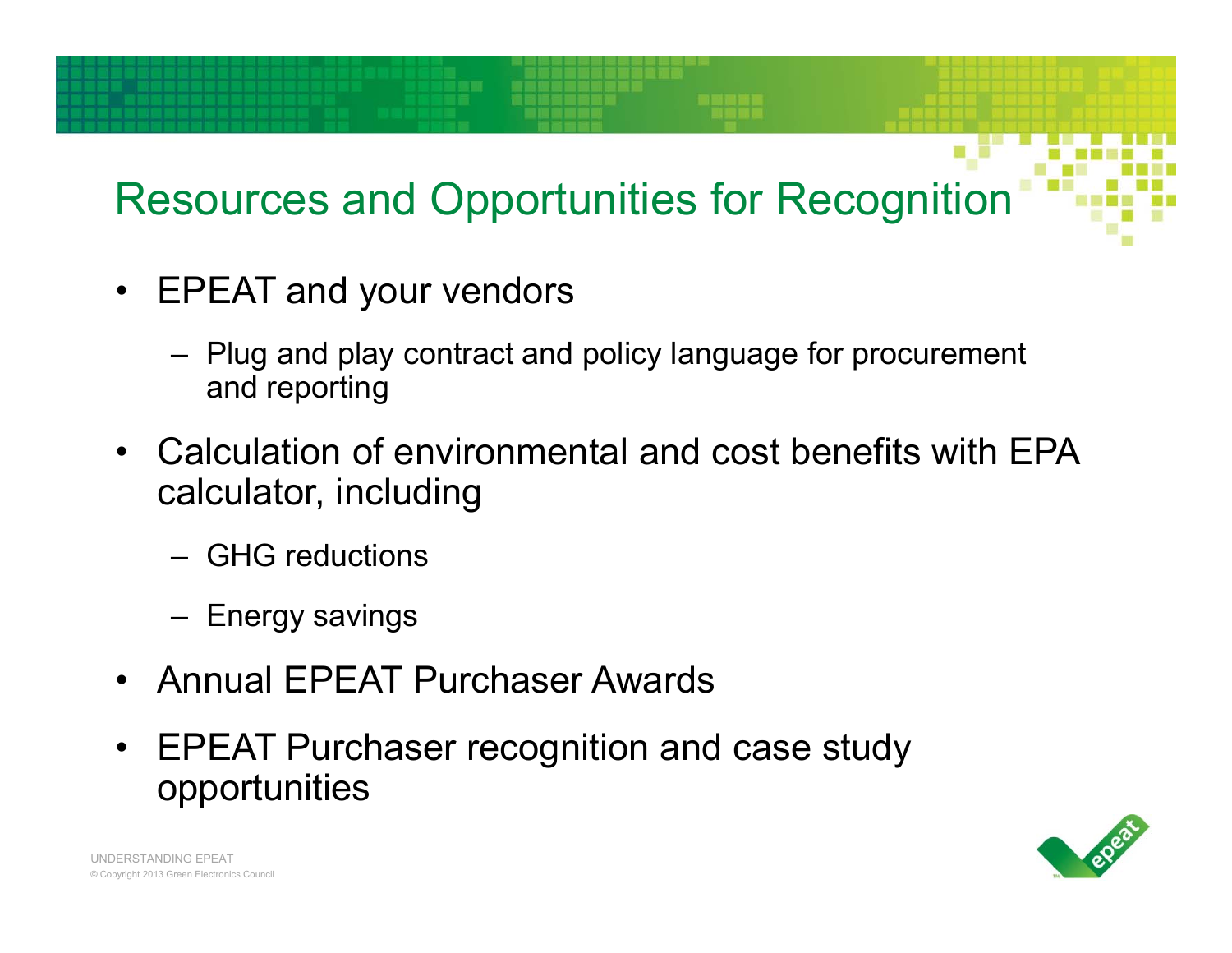# Resources and Opportunities for Recognition

- EPEAT and your vendors
	- Plug and play contract and policy language for procurement and reporting
- Calculation of environmental and cost benefits with EPA calculator, including
	- GHG reductions
	- Energy savings
- Annual EPEAT Purchaser Awards
- $\bullet$  EPEAT Purchaser recognition and case study opportunities

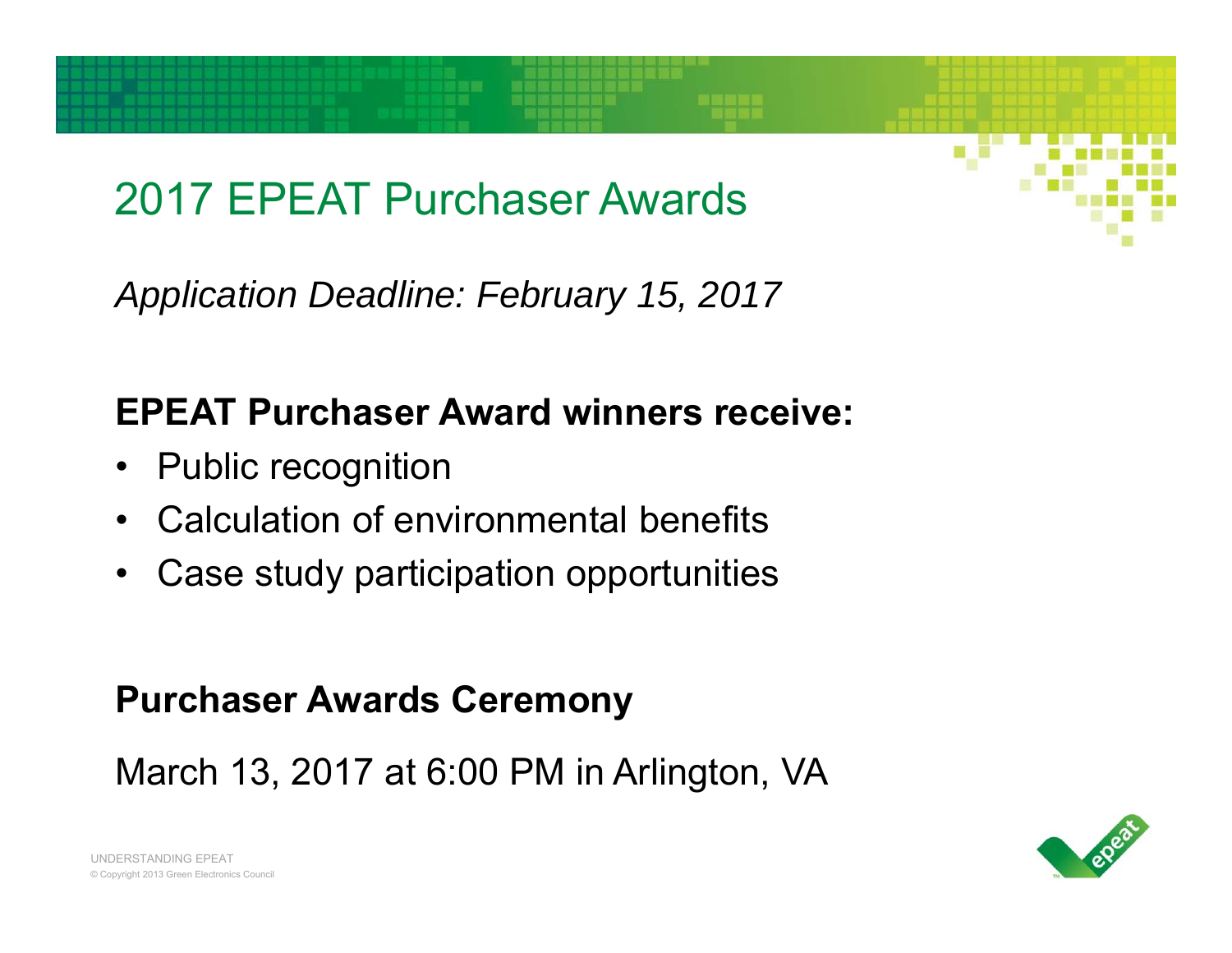## 2017 EPEAT Purchaser Awards

*Application Deadline: February 15, 2017*

#### **EPEAT Purchaser Award winners receive:**

- Public recognition
- Calculation of environmental benefits
- •Case study participation opportunities

#### **Purchaser Awards Ceremony**

March 13, 2017 at 6:00 PM in Arlington, VA

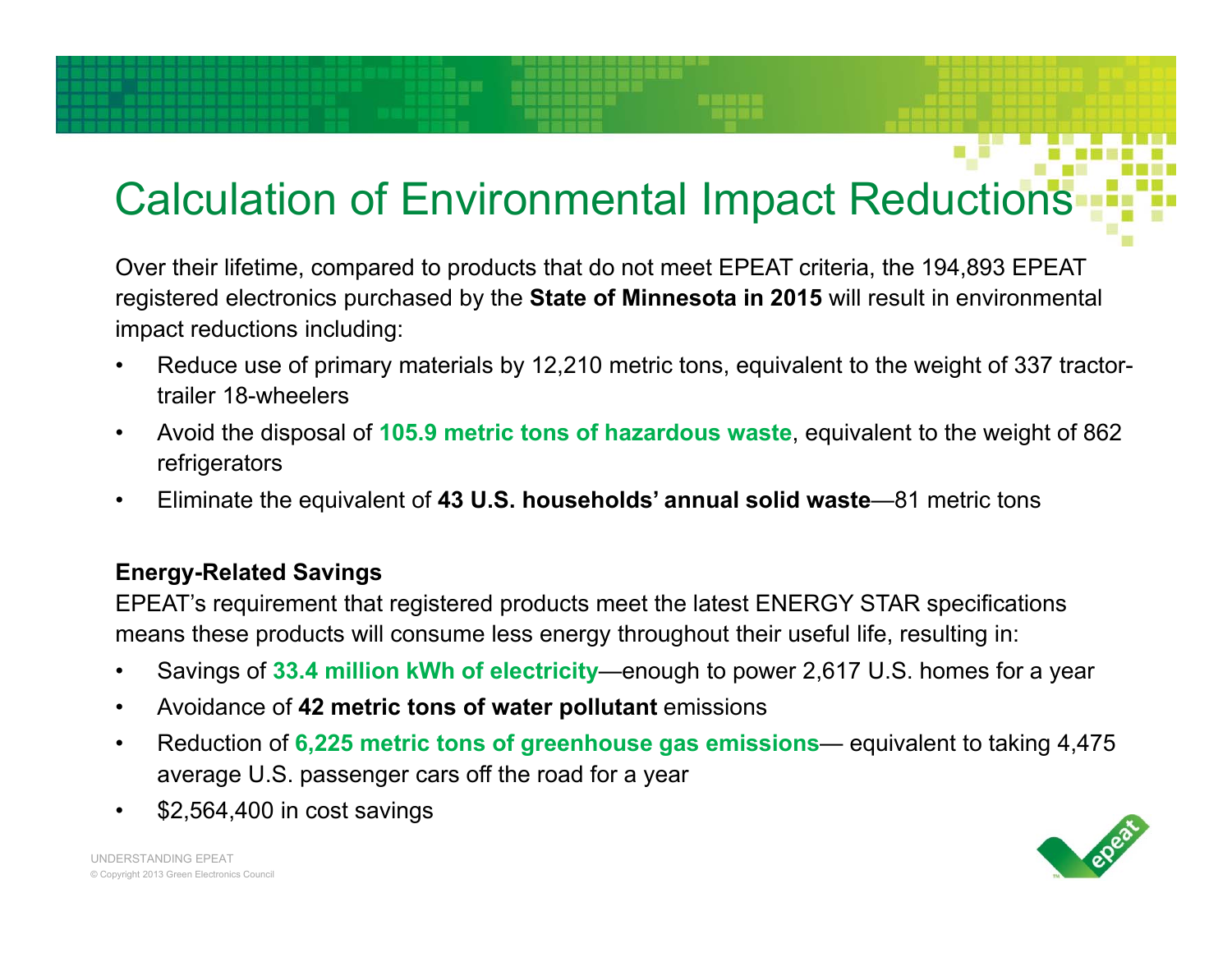# Calculation of Environmental Impact Reductions

Over their lifetime, compared to products that do not meet EPEAT criteria, the 194,893 EPEAT registered electronics purchased by the **State of Minnesota in 2015** will result in environmental impact reductions including:

- • Reduce use of primary materials by 12,210 metric tons, equivalent to the weight of 337 tractortrailer 18-wheelers
- $\bullet$  Avoid the disposal of **105.9 metric tons of hazardous waste**, equivalent to the weight of 862 refrigerators
- $\bullet$ Eliminate the equivalent of **43 U.S. households' annual solid waste**—81 metric tons

#### **Energy-Related Savings**

EPEAT's requirement that registered products meet the latest ENERGY STAR specifications means these products will consume less energy throughout their useful life, resulting in:

- $\bullet$ Savings of **33.4 million kWh of electricity**—enough to power 2,617 U.S. homes for a year
- $\bullet$ Avoidance of **42 metric tons of water pollutant** emissions
- $\bullet$  Reduction of **6,225 metric tons of greenhouse gas emissions**— equivalent to taking 4,475 average U.S. passenger cars off the road for a year
- $\bullet$ \$2,564,400 in cost savings

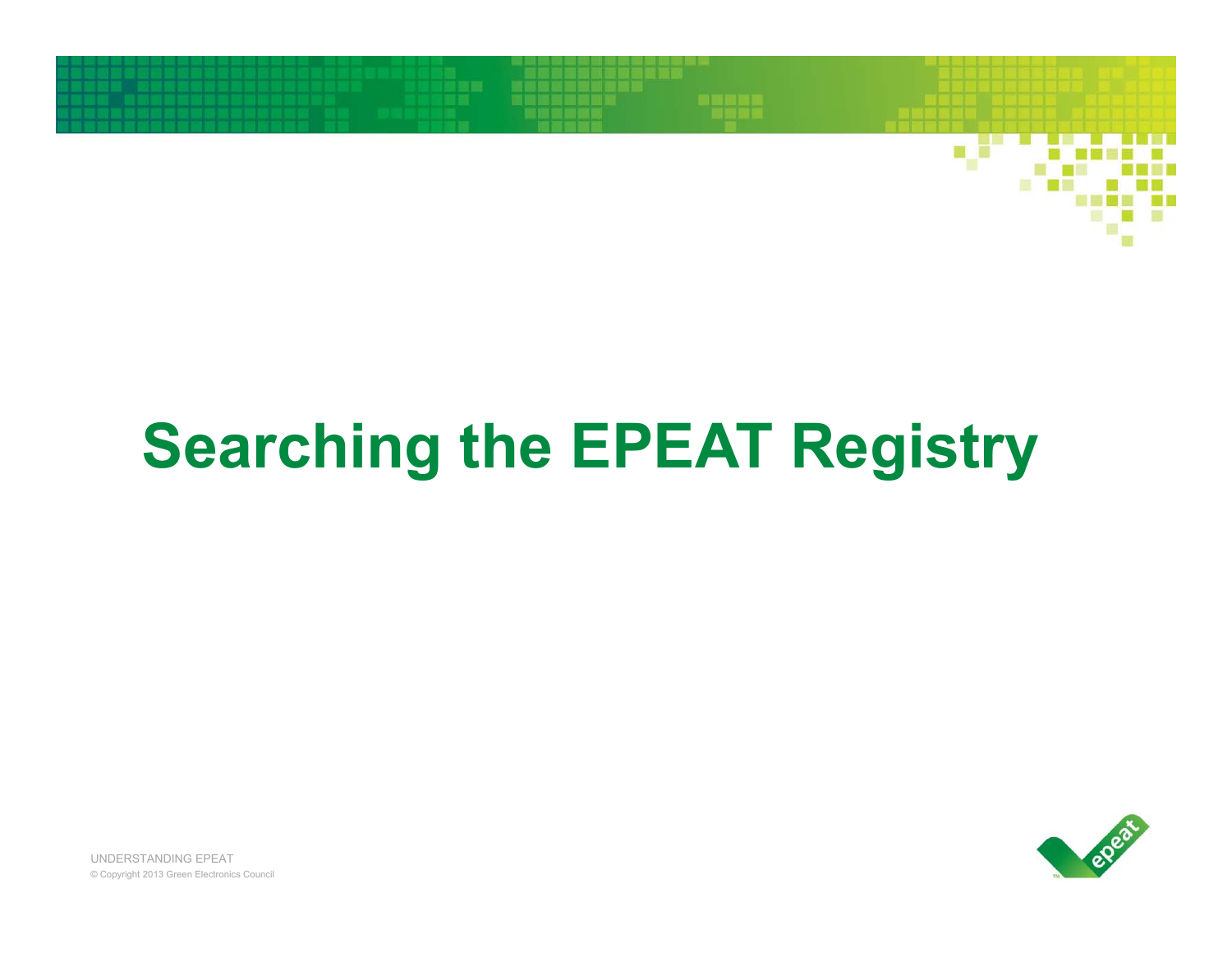

# **Searching the EPEAT Registry**

apear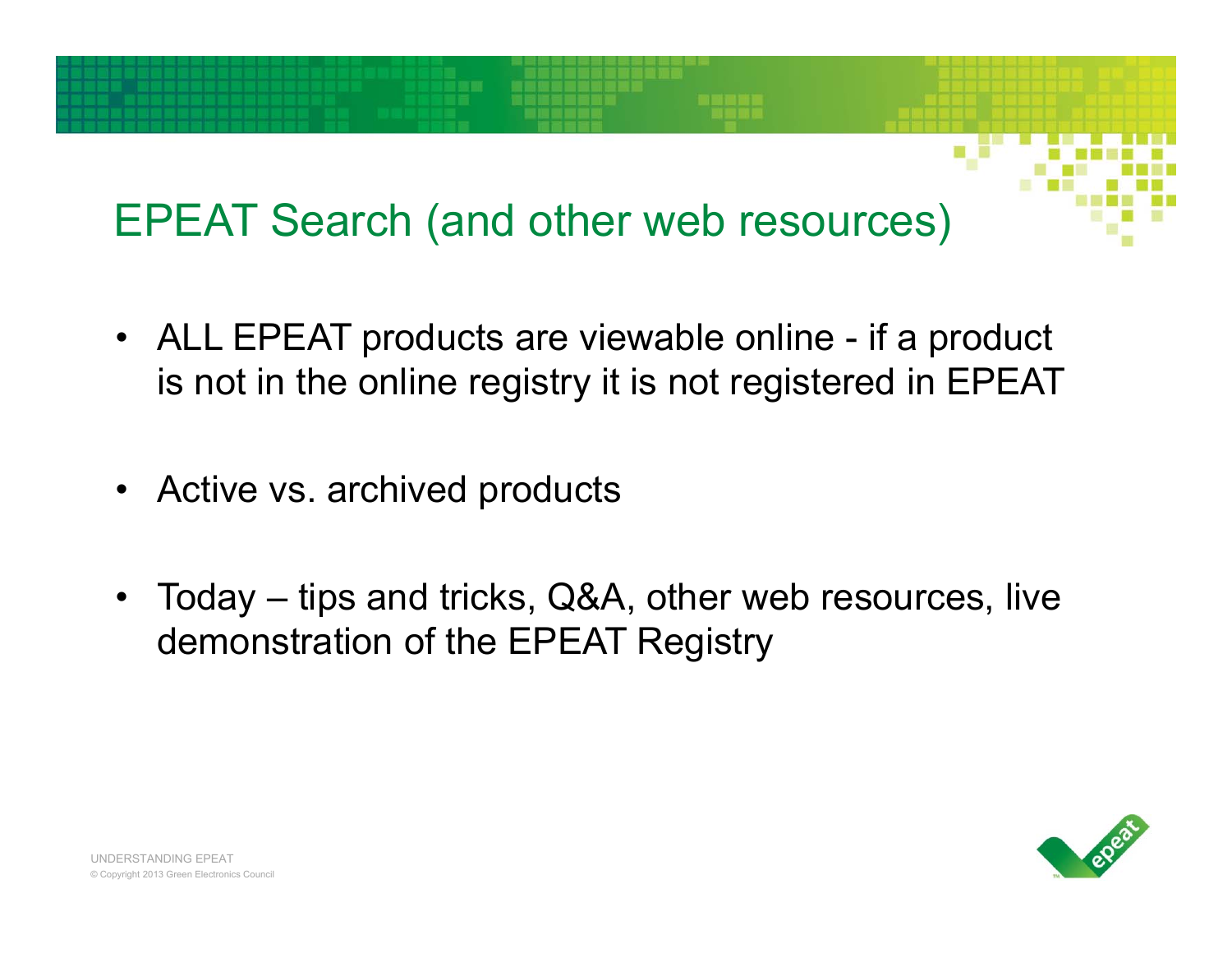# EPEAT Search (and other web resources)

- ALL EPEAT products are viewable online if a product is not in the online registry it is not registered in EPEAT
- Active vs. archived products
- • Today – tips and tricks, Q&A, other web resources, live demonstration of the EPEAT Registry

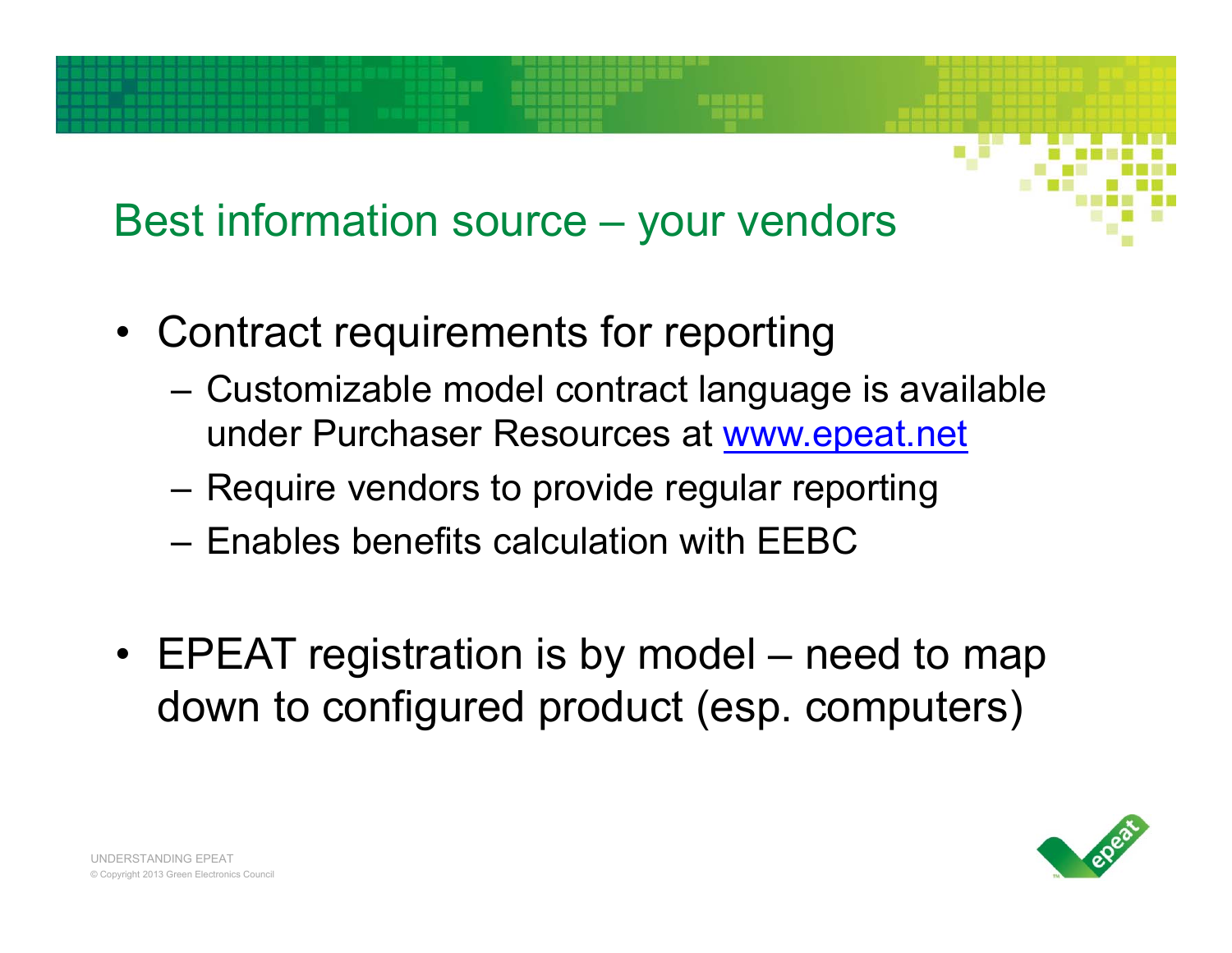### Best information source – your vendors

- Contract requirements for reporting
	- – Customizable model contract language is available under Purchaser Resources at www.epeat.net
	- –Require vendors to provide regular reporting
	- Enables benefits calculation with EEBC
- EPEAT registration is by model need to map down to configured product (esp. computers)

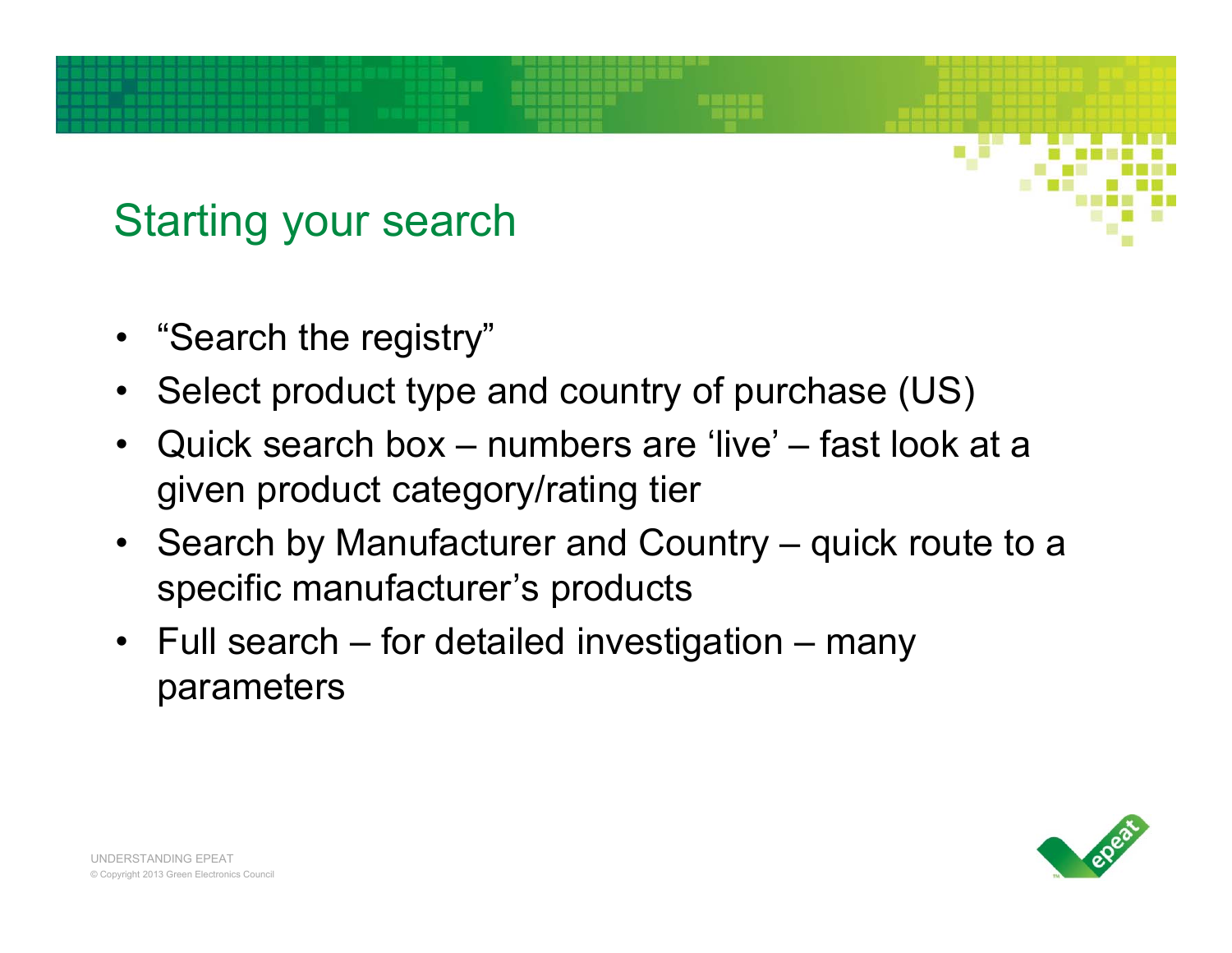### Starting your search

- "Search the registry"
- Select product type and country of purchase (US)
- • Quick search box – numbers are 'live' – fast look at a given product category/rating tier
- Search by Manufacturer and Country quick route to a specific manufacturer's products
- Full search for detailed investigation many parameters

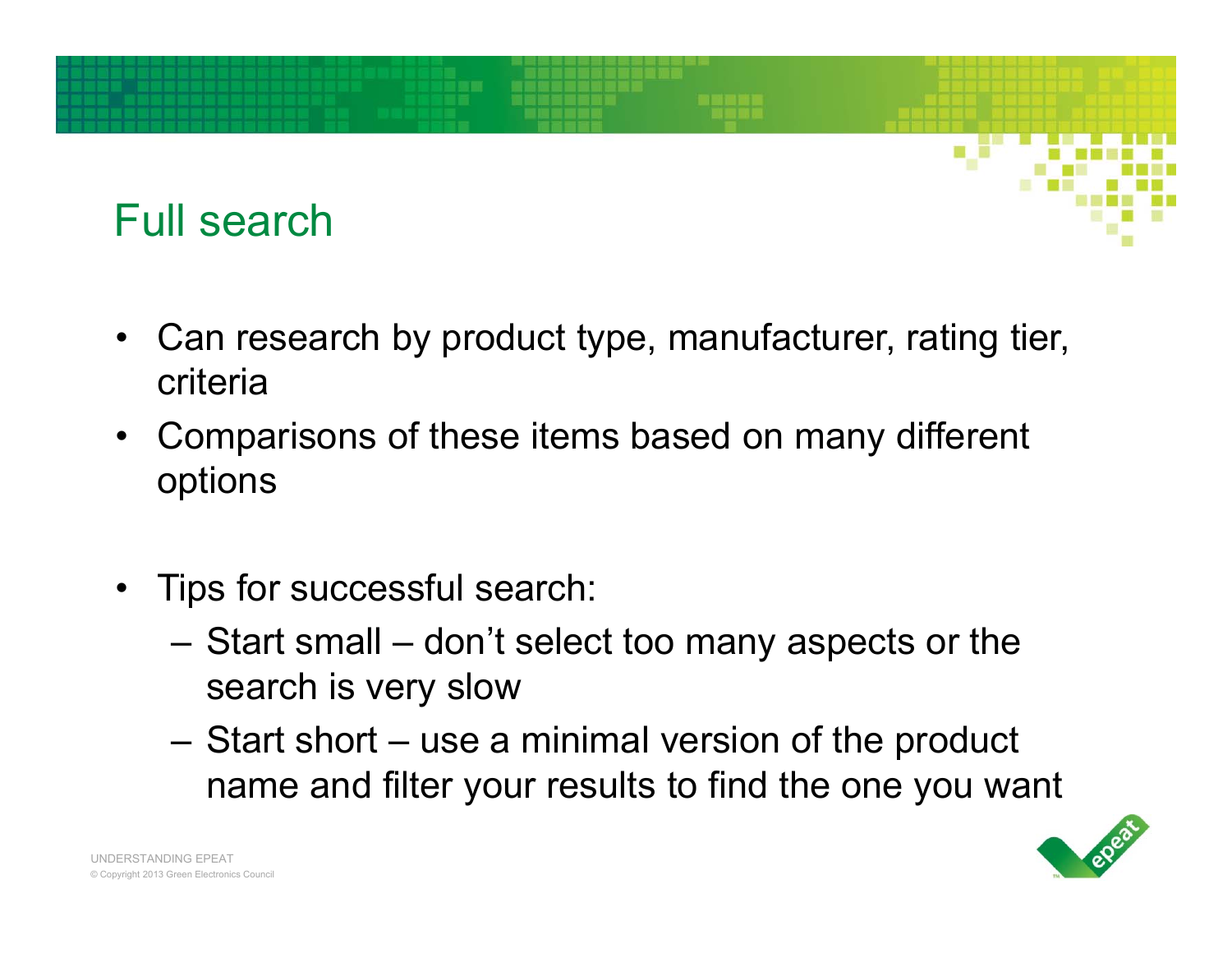

- Can research by product type, manufacturer, rating tier, criteria
- Comparisons of these items based on many different options
- Tips for successful search:
	- – Start small – don't select too many aspects or the search is very slow
	- – Start short – use a minimal version of the product name and filter your results to find the one you want

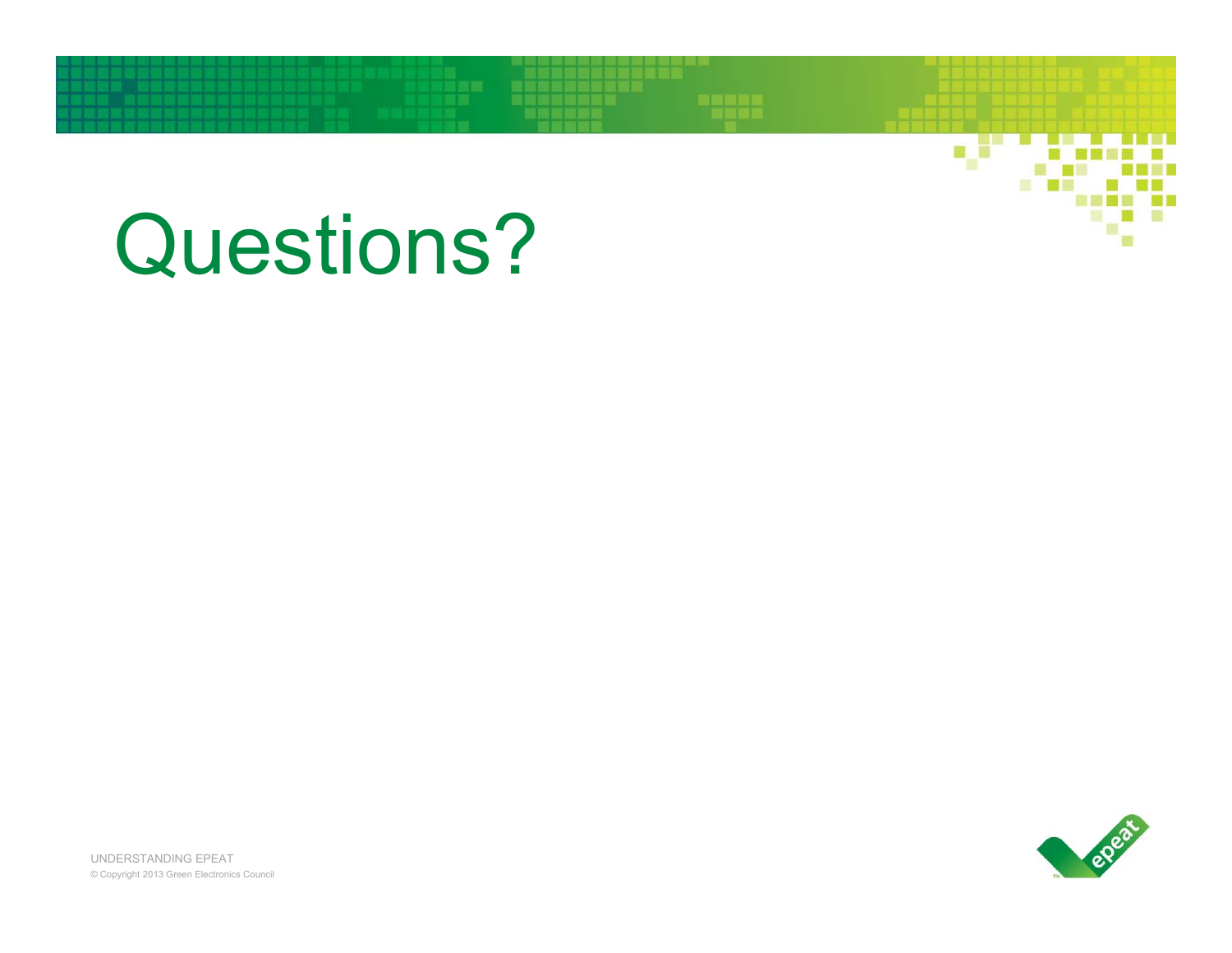# Questions?

epear

v

n di prim